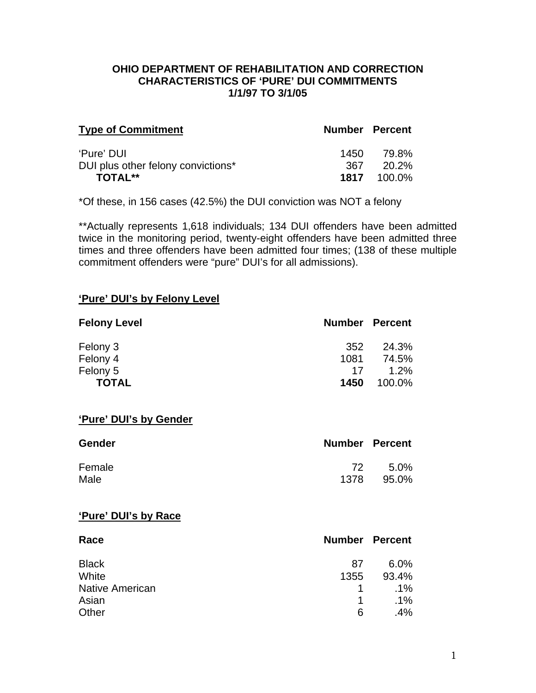#### **OHIO DEPARTMENT OF REHABILITATION AND CORRECTION CHARACTERISTICS OF 'PURE' DUI COMMITMENTS 1/1/97 TO 3/1/05**

| <b>Type of Commitment</b>          | <b>Number Percent</b> |                    |
|------------------------------------|-----------------------|--------------------|
| 'Pure' DUI                         | 1450                  | 79.8%              |
| DUI plus other felony convictions* | 367.                  | -20.2%             |
| <b>TOTAL**</b>                     |                       | <b>1817</b> 100.0% |

\*Of these, in 156 cases (42.5%) the DUI conviction was NOT a felony

\*\*Actually represents 1,618 individuals; 134 DUI offenders have been admitted twice in the monitoring period, twenty-eight offenders have been admitted three times and three offenders have been admitted four times; (138 of these multiple commitment offenders were "pure" DUI's for all admissions).

#### **'Pure' DUI's by Felony Level**

| <b>Felony Level</b> | <b>Number Percent</b> |         |
|---------------------|-----------------------|---------|
| Felony 3            | 352                   | 24.3%   |
| Felony 4            | 1081                  | 74.5%   |
| Felony 5            | 17                    | $1.2\%$ |
| <b>TOTAL</b>        | 1450                  | 100.0%  |

#### **'Pure' DUI's by Gender**

| <b>Gender</b> | <b>Number Percent</b> |        |
|---------------|-----------------------|--------|
| Female        | -72                   | - 5.0% |
| Male          | 1378                  | 95.0%  |

#### **'Pure' DUI's by Race**

| Race                   |              | <b>Number Percent</b> |
|------------------------|--------------|-----------------------|
| <b>Black</b>           | 87           | $6.0\%$               |
| White                  | 1355         | 93.4%                 |
| <b>Native American</b> | $\mathbf{1}$ | $.1\%$                |
| Asian                  | $\mathbf 1$  | $.1\%$                |
| Other                  | 6            | $.4\%$                |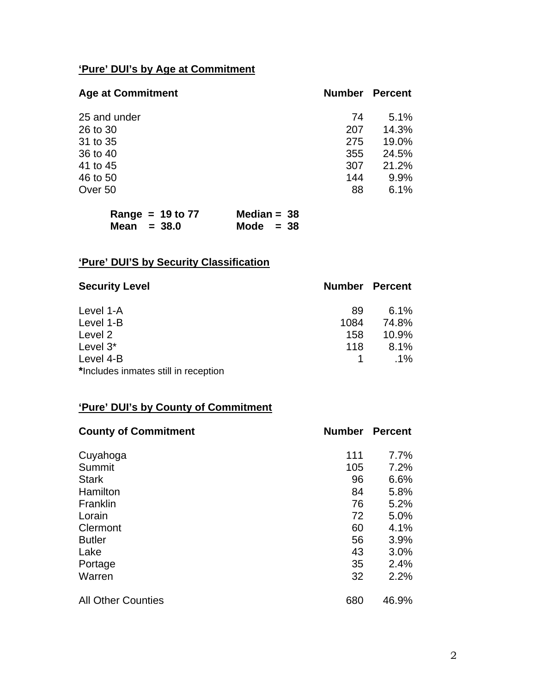# **'Pure' DUI's by Age at Commitment**

| <b>Age at Commitment</b> | <b>Number</b> | <b>Percent</b> |
|--------------------------|---------------|----------------|
| 25 and under             | 74            | 5.1%           |
| 26 to 30                 | 207           | 14.3%          |
| 31 to 35                 | 275           | 19.0%          |
| 36 to 40                 | 355           | 24.5%          |
| 41 to 45                 | 307           | 21.2%          |
| 46 to 50                 | 144           | 9.9%           |
| Over 50                  | 88            | 6.1%           |

| Range = $19$ to $77$ | Median = $38$ |
|----------------------|---------------|
| Mean $= 38.0$        | Mode $= 38$   |

# **'Pure' DUI'S by Security Classification**

| <b>Security Level</b>                | <b>Number Percent</b> |         |
|--------------------------------------|-----------------------|---------|
| Level 1-A                            | 89                    | $6.1\%$ |
| Level 1-B                            | 1084                  | 74.8%   |
| Level 2                              | 158                   | 10.9%   |
| Level 3*                             | 118                   | 8.1%    |
| Level 4-B                            |                       | $.1\%$  |
| *Includes inmates still in reception |                       |         |

# **'Pure' DUI's by County of Commitment**

| <b>County of Commitment</b> | <b>Number</b> | <b>Percent</b> |
|-----------------------------|---------------|----------------|
| Cuyahoga                    | 111           | 7.7%           |
| Summit                      | 105           | 7.2%           |
| <b>Stark</b>                | 96            | 6.6%           |
| Hamilton                    | 84            | 5.8%           |
| Franklin                    | 76            | 5.2%           |
| Lorain                      | 72            | 5.0%           |
| Clermont                    | 60            | 4.1%           |
| <b>Butler</b>               | 56            | 3.9%           |
| Lake                        | 43            | 3.0%           |
| Portage                     | 35            | 2.4%           |
| Warren                      | 32            | 2.2%           |
| <b>All Other Counties</b>   | 680           | 46.9%          |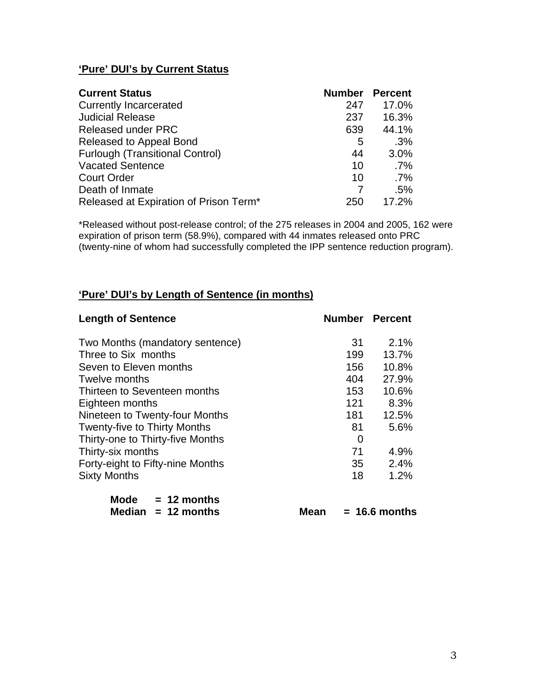## **'Pure' DUI's by Current Status**

| <b>Current Status</b>                  | <b>Number Percent</b> |        |
|----------------------------------------|-----------------------|--------|
| <b>Currently Incarcerated</b>          | 247                   | 17.0%  |
| <b>Judicial Release</b>                | 237                   | 16.3%  |
| <b>Released under PRC</b>              | 639                   | 44.1%  |
| Released to Appeal Bond                | 5                     | .3%    |
| <b>Furlough (Transitional Control)</b> | 44                    | 3.0%   |
| <b>Vacated Sentence</b>                | 10                    | $.7\%$ |
| <b>Court Order</b>                     | 10                    | $.7\%$ |
| Death of Inmate                        |                       | .5%    |
| Released at Expiration of Prison Term* | 250                   | 17.2%  |

\*Released without post-release control; of the 275 releases in 2004 and 2005, 162 were expiration of prison term (58.9%), compared with 44 inmates released onto PRC (twenty-nine of whom had successfully completed the IPP sentence reduction program).

#### **'Pure' DUI's by Length of Sentence (in months)**

| <b>Length of Sentence</b>           |     | <b>Number Percent</b> |
|-------------------------------------|-----|-----------------------|
| Two Months (mandatory sentence)     | 31  | 2.1%                  |
| Three to Six months                 | 199 | 13.7%                 |
| Seven to Eleven months              | 156 | 10.8%                 |
| Twelve months                       | 404 | 27.9%                 |
| Thirteen to Seventeen months        | 153 | 10.6%                 |
| Eighteen months                     | 121 | 8.3%                  |
| Nineteen to Twenty-four Months      | 181 | 12.5%                 |
| <b>Twenty-five to Thirty Months</b> | 81  | 5.6%                  |
| Thirty-one to Thirty-five Months    | 0   |                       |
| Thirty-six months                   | 71  | 4.9%                  |
| Forty-eight to Fifty-nine Months    | 35  | 2.4%                  |
| <b>Sixty Months</b>                 | 18  | 1.2%                  |
| <b>Mode</b><br>$= 12$ months        |     |                       |

| <b>Median</b> |  | 12 months |
|---------------|--|-----------|
|---------------|--|-----------|

**Mean = 16.6 months**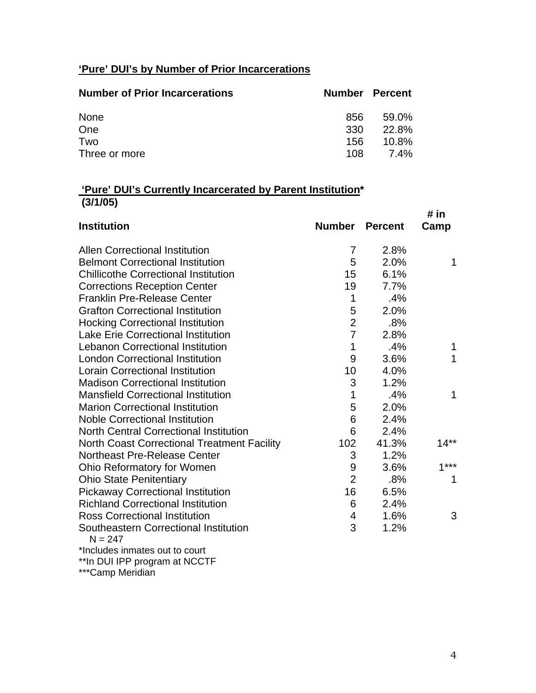## **'Pure' DUI's by Number of Prior Incarcerations**

| <b>Number of Prior Incarcerations</b> | <b>Number Percent</b> |             |
|---------------------------------------|-----------------------|-------------|
| <b>None</b>                           | 856                   | 59.0%       |
| One                                   | 330                   | 22.8%       |
| Two                                   | 156                   | $10.8\%$    |
| Three or more                         | 108.                  | <b>7.4%</b> |

## **'Pure' DUI's Currently Incarcerated by Parent Institution\* (3/1/05)**

|                                                    |                  |                | # in   |
|----------------------------------------------------|------------------|----------------|--------|
| <b>Institution</b>                                 | <b>Number</b>    | <b>Percent</b> | Camp   |
| <b>Allen Correctional Institution</b>              | $\overline{7}$   | 2.8%           |        |
| <b>Belmont Correctional Institution</b>            | 5                | 2.0%           | 1      |
| <b>Chillicothe Correctional Institution</b>        | 15               | 6.1%           |        |
| <b>Corrections Reception Center</b>                | 19               | 7.7%           |        |
| <b>Franklin Pre-Release Center</b>                 | 1                | .4%            |        |
| <b>Grafton Correctional Institution</b>            | 5                | 2.0%           |        |
| <b>Hocking Correctional Institution</b>            | $\overline{2}$   | .8%            |        |
| <b>Lake Erie Correctional Institution</b>          | $\overline{7}$   | 2.8%           |        |
| <b>Lebanon Correctional Institution</b>            | 1                | .4%            | 1      |
| <b>London Correctional Institution</b>             | 9                | 3.6%           | 1      |
| <b>Lorain Correctional Institution</b>             | 10               | 4.0%           |        |
| <b>Madison Correctional Institution</b>            | 3                | 1.2%           |        |
| <b>Mansfield Correctional Institution</b>          | 1                | .4%            | 1      |
| <b>Marion Correctional Institution</b>             | 5                | 2.0%           |        |
| <b>Noble Correctional Institution</b>              | 6                | 2.4%           |        |
| <b>North Central Correctional Institution</b>      | 6                | 2.4%           |        |
| <b>North Coast Correctional Treatment Facility</b> | 102              | 41.3%          | $14**$ |
| <b>Northeast Pre-Release Center</b>                | 3                | 1.2%           |        |
| Ohio Reformatory for Women                         | $\boldsymbol{9}$ | 3.6%           | $1***$ |
| <b>Ohio State Penitentiary</b>                     | $\overline{2}$   | .8%            | 1      |
| <b>Pickaway Correctional Institution</b>           | 16               | 6.5%           |        |
| <b>Richland Correctional Institution</b>           | 6                | 2.4%           |        |
| <b>Ross Correctional Institution</b>               | 4                | 1.6%           | 3      |
| Southeastern Correctional Institution<br>$N = 247$ | 3                | 1.2%           |        |
| *Includes inmates out to court                     |                  |                |        |
| **In DUI IPP program at NCCTF                      |                  |                |        |

\*\*\*Camp Meridian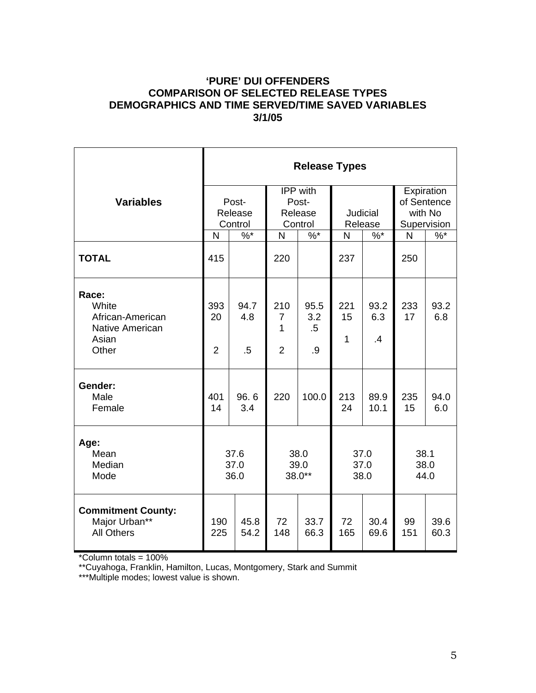## **'PURE' DUI OFFENDERS COMPARISON OF SELECTED RELEASE TYPES DEMOGRAPHICS AND TIME SERVED/TIME SAVED VARIABLES 3/1/05**

|                                                                                | <b>Release Types</b>        |                       |                                              |                             |                          |                        |                                                     |              |  |
|--------------------------------------------------------------------------------|-----------------------------|-----------------------|----------------------------------------------|-----------------------------|--------------------------|------------------------|-----------------------------------------------------|--------------|--|
| <b>Variables</b>                                                               | Post-<br>Release<br>Control |                       | IPP with<br>Post-<br>Release<br>Control      |                             | Judicial<br>Release      |                        | Expiration<br>of Sentence<br>with No<br>Supervision |              |  |
|                                                                                | $\%$ *<br>N                 |                       | $\%$ *<br>N                                  |                             | $\%$ $*$<br>N            |                        | N                                                   | $%^*$        |  |
| <b>TOTAL</b>                                                                   | 415                         |                       | 220                                          |                             | 237                      |                        | 250                                                 |              |  |
| Race:<br>White<br>African-American<br><b>Native American</b><br>Asian<br>Other | 393<br>20<br>$\overline{2}$ | 94.7<br>4.8<br>$.5\,$ | 210<br>$\overline{7}$<br>1<br>$\overline{2}$ | 95.5<br>3.2<br>$.5\,$<br>.9 | 221<br>15<br>$\mathbf 1$ | 93.2<br>6.3<br>$\cdot$ | 233<br>17                                           | 93.2<br>6.8  |  |
| Gender:<br>Male<br>Female                                                      | 401<br>14                   | 96.6<br>3.4           | 220                                          | 100.0                       | 213<br>24                | 89.9<br>10.1           | 235<br>15                                           | 94.0<br>6.0  |  |
| Age:<br>Mean<br>Median<br>Mode                                                 | 37.6<br>37.0<br>36.0        |                       | 38.0<br>39.0<br>38.0**                       |                             | 37.0<br>37.0<br>38.0     |                        | 38.1<br>38.0<br>44.0                                |              |  |
| <b>Commitment County:</b><br>Major Urban**<br><b>All Others</b>                | 190<br>225                  | 45.8<br>54.2          | 72<br>148                                    | 33.7<br>66.3                | 72<br>165                | 30.4<br>69.6           | 99<br>151                                           | 39.6<br>60.3 |  |

\*Column totals = 100%

\*\*Cuyahoga, Franklin, Hamilton, Lucas, Montgomery, Stark and Summit

\*\*\*Multiple modes; lowest value is shown.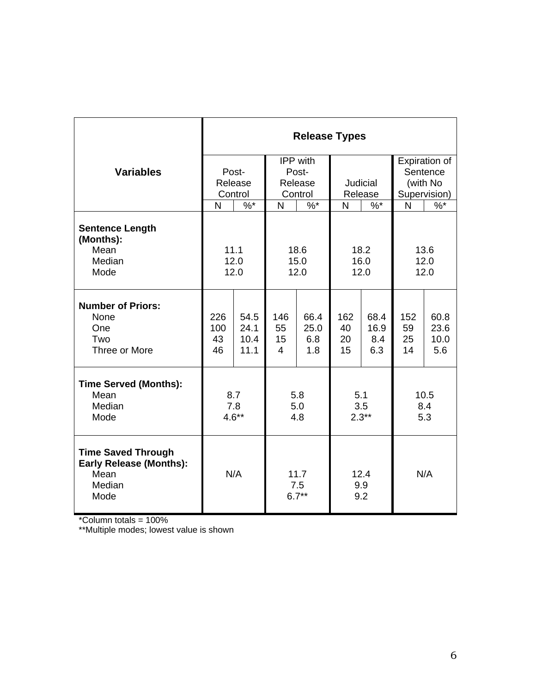|                                                                                       | <b>Release Types</b> |         |                        |                    |          |       |               |      |
|---------------------------------------------------------------------------------------|----------------------|---------|------------------------|--------------------|----------|-------|---------------|------|
|                                                                                       |                      |         | IPP with               |                    |          |       | Expiration of |      |
| <b>Variables</b>                                                                      | Post-                |         | Post-                  |                    |          |       | Sentence      |      |
|                                                                                       |                      | Release | Release                |                    | Judicial |       | (with No      |      |
|                                                                                       | Control              |         | Control                |                    | Release  |       | Supervision)  |      |
|                                                                                       | N                    | $\%$ *  | N                      | $%$ *              | N        | $%^*$ | N             | $\%$ |
| <b>Sentence Length</b><br>(Months):<br>Mean                                           |                      | 11.1    |                        | 18.6               | 18.2     |       | 13.6          |      |
| Median                                                                                | 12.0                 |         | 15.0                   |                    | 16.0     |       | 12.0          |      |
| Mode                                                                                  | 12.0                 |         | 12.0                   |                    | 12.0     |       | 12.0          |      |
|                                                                                       |                      |         |                        |                    |          |       |               |      |
| <b>Number of Priors:</b>                                                              |                      |         |                        |                    |          |       |               |      |
| None                                                                                  | 226                  | 54.5    | 146                    | 66.4               | 162      | 68.4  | 152           | 60.8 |
| One                                                                                   | 100                  | 24.1    | 55                     | 25.0               | 40       | 16.9  | 59            | 23.6 |
| Two                                                                                   | 43                   | 10.4    | 15                     | 6.8                | 20       | 8.4   | 25            | 10.0 |
| Three or More                                                                         | 46                   | 11.1    | $\overline{4}$         | 1.8                | 15       | 6.3   | 14            | 5.6  |
| <b>Time Served (Months):</b>                                                          |                      |         |                        |                    |          |       |               |      |
| Mean                                                                                  | 8.7                  |         | 5.8                    |                    | 5.1      |       | 10.5          |      |
| Median                                                                                | 7.8                  |         | 5.0                    |                    | 3.5      |       | 8.4           |      |
| Mode                                                                                  | $4.6**$              |         | 4.8                    |                    | $2.3**$  |       | 5.3           |      |
|                                                                                       |                      |         |                        |                    |          |       |               |      |
| <b>Time Saved Through</b><br><b>Early Release (Months):</b><br>Mean<br>Median<br>Mode | N/A                  |         | 11.7<br>7.5<br>$6.7**$ | 12.4<br>9.9<br>9.2 |          | N/A   |               |      |

\*Column totals = 100%

\*\*Multiple modes; lowest value is shown